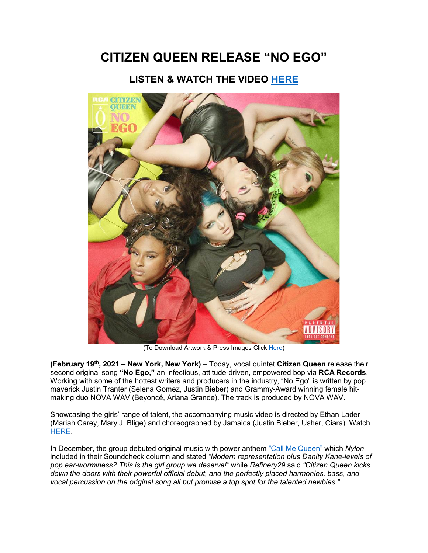## **CITIZEN QUEEN RELEASE "NO EGO"**

## **LISTEN & WATCH THE VIDEO [HERE](https://eur01.safelinks.protection.outlook.com/?url=https%3A%2F%2Fsmarturl.it%2FNoEgo%2Fyoutube&data=04%7C01%7Ckirsten.mikkelson%40rcarecords.com%7C7158ccf2dcbf4ac6926208d8d4f044c6%7Cf0aff3b791a54aaeaf71c63e1dda2049%7C0%7C0%7C637493475772499159%7CUnknown%7CTWFpbGZsb3d8eyJWIjoiMC4wLjAwMDAiLCJQIjoiV2luMzIiLCJBTiI6Ik1haWwiLCJXVCI6Mn0%3D%7C1000&sdata=QWd%2B8WGVixz%2BC3CJoRmW6b4S8IC45FGUC8wTxEVri7s%3D&reserved=0)**



(To Download Artwork & Press Images Clic[k Here\)](https://eur01.safelinks.protection.outlook.com/?url=https%3A%2F%2Fapp.box.com%2Fs%2F49d55uhx4gt5nibze3kl4nnh77lolecw&data=04%7C01%7Ckirsten.mikkelson%40rcarecords.com%7C7158ccf2dcbf4ac6926208d8d4f044c6%7Cf0aff3b791a54aaeaf71c63e1dda2049%7C0%7C0%7C637493475772499159%7CUnknown%7CTWFpbGZsb3d8eyJWIjoiMC4wLjAwMDAiLCJQIjoiV2luMzIiLCJBTiI6Ik1haWwiLCJXVCI6Mn0%3D%7C1000&sdata=V2RiSiLKwpWrmPcRHxk6nTVJGqTKsrs11CZ2xgS8YuU%3D&reserved=0)

**(February 19th, 2021 – New York, New York)** – Today, vocal quintet **Citizen Queen** release their second original song **"No Ego,"** an infectious, attitude-driven, empowered bop via **RCA Records**. Working with some of the hottest writers and producers in the industry, "No Ego" is written by pop maverick Justin Tranter (Selena Gomez, Justin Bieber) and Grammy-Award winning female hitmaking duo NOVA WAV (Beyoncé, Ariana Grande). The track is produced by NOVA WAV.

Showcasing the girls' range of talent, the accompanying music video is directed by Ethan Lader (Mariah Carey, Mary J. Blige) and choreographed by Jamaica (Justin Bieber, Usher, Ciara). Watch [HERE.](https://eur01.safelinks.protection.outlook.com/?url=https%3A%2F%2Fsmarturl.it%2FNoEgo%2Fyoutube&data=04%7C01%7Ckirsten.mikkelson%40rcarecords.com%7C7158ccf2dcbf4ac6926208d8d4f044c6%7Cf0aff3b791a54aaeaf71c63e1dda2049%7C0%7C0%7C637493475772509150%7CUnknown%7CTWFpbGZsb3d8eyJWIjoiMC4wLjAwMDAiLCJQIjoiV2luMzIiLCJBTiI6Ik1haWwiLCJXVCI6Mn0%3D%7C1000&sdata=SKNnuwiP%2F%2BAijRRIJFdKiN9wHCLw4BjdVQdghTBJa0I%3D&reserved=0)

In December, the group debuted original music with power anthem ["Call Me Queen"](https://eur01.safelinks.protection.outlook.com/?url=https%3A%2F%2Fsmarturl.it%2FCallMeQueen&data=04%7C01%7Ckirsten.mikkelson%40rcarecords.com%7C7158ccf2dcbf4ac6926208d8d4f044c6%7Cf0aff3b791a54aaeaf71c63e1dda2049%7C0%7C0%7C637493475772509150%7CUnknown%7CTWFpbGZsb3d8eyJWIjoiMC4wLjAwMDAiLCJQIjoiV2luMzIiLCJBTiI6Ik1haWwiLCJXVCI6Mn0%3D%7C1000&sdata=hx%2F%2BtbebcoGUgziKLrX2zywzcwZYmpG33NA5QAeN0po%3D&reserved=0) which *Nylon* included in their Soundcheck column and stated *"Modern representation plus Danity Kane-levels of pop ear-worminess? This is the girl group we deserve!"* while *Refinery29* said *"Citizen Queen kicks down the doors with their powerful official debut, and the perfectly placed harmonies, bass, and vocal percussion on the original song all but promise a top spot for the talented newbies."*